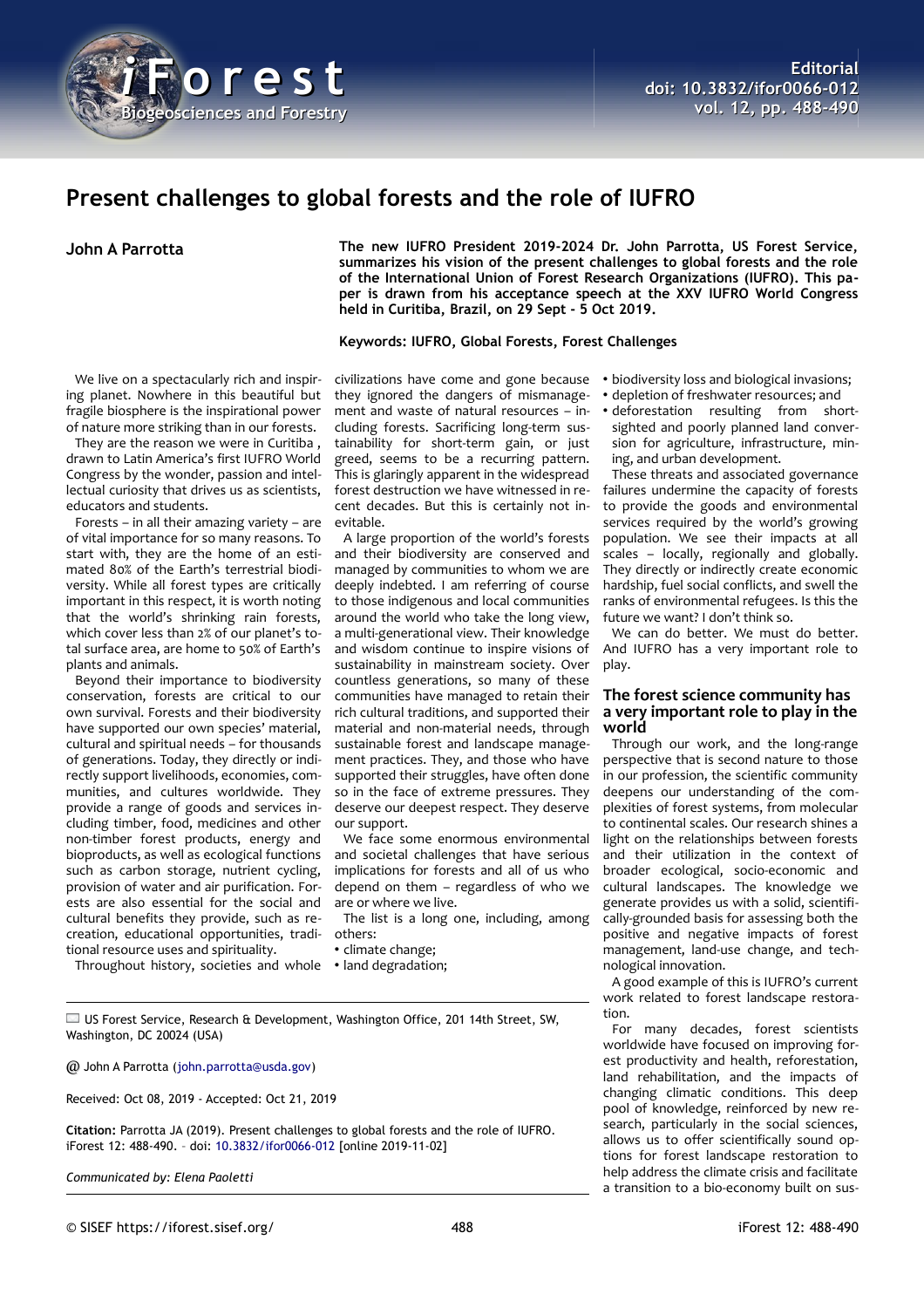

# **Present challenges to global forests and the role of IUFRO**

We live on a spectacularly rich and inspiring planet. Nowhere in this beautiful but fragile biosphere is the inspirational power of nature more striking than in our forests.

They are the reason we were in Curitiba , drawn to Latin America's first IUFRO World Congress by the wonder, passion and intellectual curiosity that drives us as scientists, educators and students.

Forests – in all their amazing variety – are of vital importance for so many reasons. To start with, they are the home of an estimated 80% of the Earth's terrestrial biodiversity. While all forest types are critically important in this respect, it is worth noting that the world's shrinking rain forests, which cover less than 2% of our planet's total surface area, are home to 50% of Earth's plants and animals.

Beyond their importance to biodiversity conservation, forests are critical to our own survival. Forests and their biodiversity have supported our own species' material, cultural and spiritual needs – for thousands of generations. Today, they directly or indirectly support livelihoods, economies, communities, and cultures worldwide. They provide a range of goods and services including timber, food, medicines and other non-timber forest products, energy and bioproducts, as well as ecological functions such as carbon storage, nutrient cycling, provision of water and air purification. Forests are also essential for the social and cultural benefits they provide, such as recreation, educational opportunities, traditional resource uses and spirituality.

Throughout history, societies and whole

**John A Parrotta The new IUFRO President 2019-2024 Dr. John Parrotta, US Forest Service, summarizes his vision of the present challenges to global forests and the role of the International Union of Forest Research Organizations (IUFRO). This paper is drawn from his acceptance speech at the XXV IUFRO World Congress held in Curitiba, Brazil, on 29 Sept - 5 Oct 2019.**

#### **Keywords: IUFRO, Global Forests, Forest Challenges**

civilizations have come and gone because they ignored the dangers of mismanagement and waste of natural resources – including forests. Sacrificing long-term sustainability for short-term gain, or just greed, seems to be a recurring pattern. This is glaringly apparent in the widespread forest destruction we have witnessed in recent decades. But this is certainly not inevitable.

A large proportion of the world's forests and their biodiversity are conserved and managed by communities to whom we are deeply indebted. I am referring of course to those indigenous and local communities around the world who take the long view, a multi-generational view. Their knowledge and wisdom continue to inspire visions of sustainability in mainstream society. Over countless generations, so many of these communities have managed to retain their rich cultural traditions, and supported their material and non-material needs, through sustainable forest and landscape management practices. They, and those who have supported their struggles, have often done so in the face of extreme pressures. They deserve our deepest respect. They deserve our support.

We face some enormous environmental and societal challenges that have serious implications for forests and all of us who depend on them – regardless of who we are or where we live.

The list is a long one, including, among others:

• climate change;

• land degradation;

US Forest Service, Research & Development, Washington Office, 201 14th Street, SW, Washington, DC 20024 (USA)

@ John A Parrotta [\(john.parrotta@usda.gov\)](mailto:john.parrotta@usda.gov)

Received: Oct 08, 2019 - Accepted: Oct 21, 2019

**Citation:** Parrotta JA (2019). Present challenges to global forests and the role of IUFRO. iForest 12: 488-490. – doi: [10.3832/ifor0066-012](http://www.sisef.it/iforest/contents/?id=ifor0066-012) [online 2019-11-02]

*Communicated by: Elena Paoletti*

- biodiversity loss and biological invasions;
- depletion of freshwater resources; and
- deforestation resulting from shortsighted and poorly planned land conversion for agriculture, infrastructure, mining, and urban development.

These threats and associated governance failures undermine the capacity of forests to provide the goods and environmental services required by the world's growing population. We see their impacts at all scales – locally, regionally and globally. They directly or indirectly create economic hardship, fuel social conflicts, and swell the ranks of environmental refugees. Is this the future we want? I don't think so.

We can do better. We must do better. And IUFRO has a very important role to play.

#### **The forest science community has a very important role to play in the world**

Through our work, and the long-range perspective that is second nature to those in our profession, the scientific community deepens our understanding of the complexities of forest systems, from molecular to continental scales. Our research shines a light on the relationships between forests and their utilization in the context of broader ecological, socio-economic and cultural landscapes. The knowledge we generate provides us with a solid, scientifically-grounded basis for assessing both the positive and negative impacts of forest management, land-use change, and technological innovation.

A good example of this is IUFRO's current work related to forest landscape restoration.

For many decades, forest scientists worldwide have focused on improving forest productivity and health, reforestation, land rehabilitation, and the impacts of changing climatic conditions. This deep pool of knowledge, reinforced by new research, particularly in the social sciences, allows us to offer scientifically sound options for forest landscape restoration to help address the climate crisis and facilitate a transition to a bio-economy built on sus-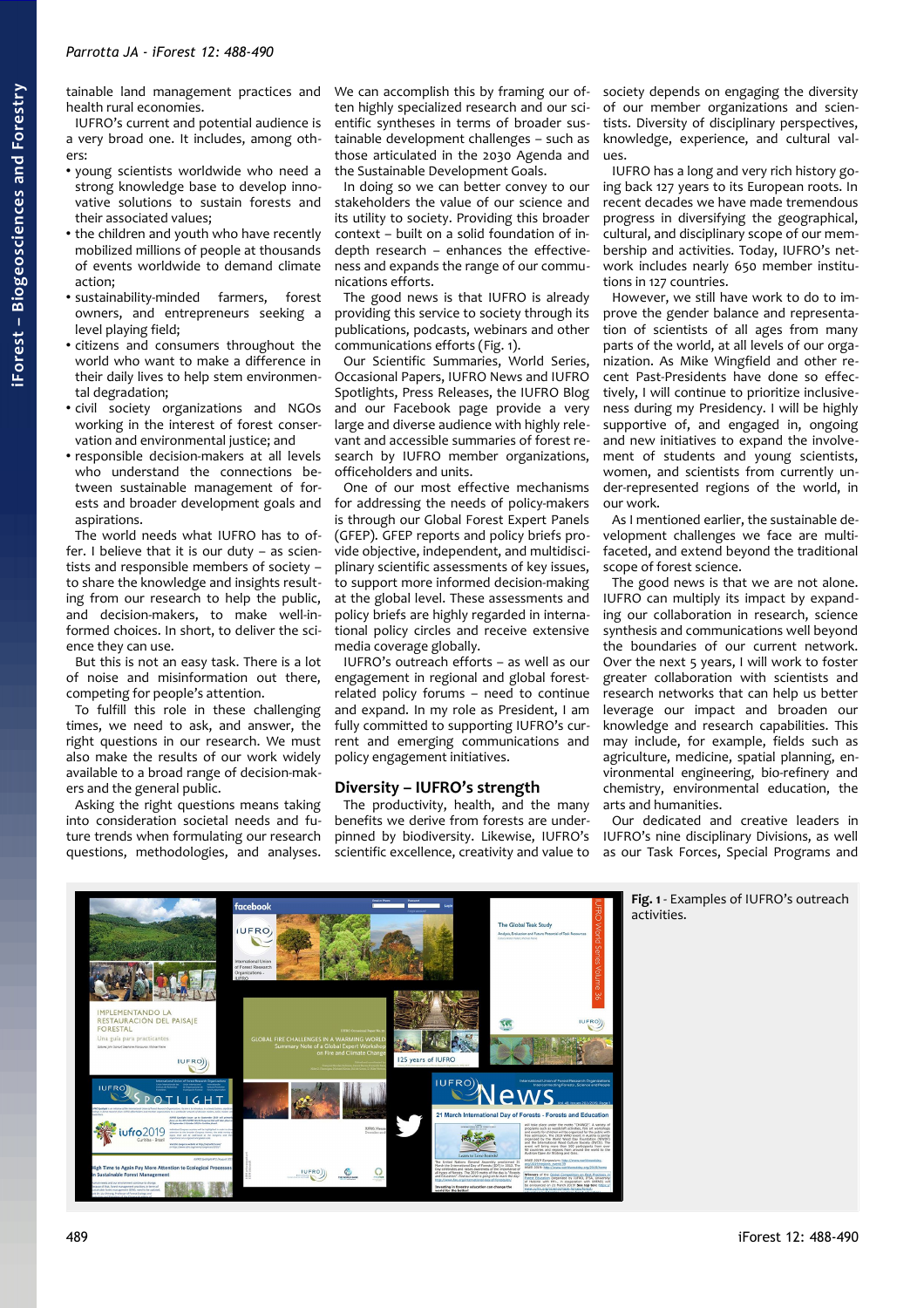tainable land management practices and health rural economies.

IUFRO's current and potential audience is a very broad one. It includes, among others:

- young scientists worldwide who need a strong knowledge base to develop innovative solutions to sustain forests and their associated values;
- the children and youth who have recently mobilized millions of people at thousands of events worldwide to demand climate action;
- sustainability-minded farmers, forest owners, and entrepreneurs seeking a level playing field;
- citizens and consumers throughout the world who want to make a difference in their daily lives to help stem environmental degradation;
- civil society organizations and NGOs working in the interest of forest conservation and environmental justice; and
- responsible decision-makers at all levels who understand the connections between sustainable management of forests and broader development goals and aspirations.

The world needs what IUFRO has to offer. I believe that it is our duty – as scientists and responsible members of society – to share the knowledge and insights resulting from our research to help the public, and decision-makers, to make well-informed choices. In short, to deliver the science they can use.

But this is not an easy task. There is a lot of noise and misinformation out there, competing for people's attention.

To fulfill this role in these challenging times, we need to ask, and answer, the right questions in our research. We must also make the results of our work widely available to a broad range of decision-makers and the general public.

Asking the right questions means taking into consideration societal needs and future trends when formulating our research questions, methodologies, and analyses.

We can accomplish this by framing our often highly specialized research and our scientific syntheses in terms of broader sustainable development challenges – such as those articulated in the 2030 Agenda and the Sustainable Development Goals.

In doing so we can better convey to our stakeholders the value of our science and its utility to society. Providing this broader context – built on a solid foundation of indepth research – enhances the effectiveness and expands the range of our communications efforts.

The good news is that IUFRO is already providing this service to society through its publications, podcasts, webinars and other communications efforts [\(Fig. 1\)](#page-1-0).

Our Scientific Summaries, World Series, Occasional Papers, IUFRO News and IUFRO Spotlights, Press Releases, the IUFRO Blog and our Facebook page provide a very large and diverse audience with highly relevant and accessible summaries of forest research by IUFRO member organizations, officeholders and units.

One of our most effective mechanisms for addressing the needs of policy-makers is through our Global Forest Expert Panels (GFEP). GFEP reports and policy briefs provide objective, independent, and multidisciplinary scientific assessments of key issues, to support more informed decision-making at the global level. These assessments and policy briefs are highly regarded in international policy circles and receive extensive media coverage globally.

IUFRO's outreach efforts – as well as our engagement in regional and global forestrelated policy forums – need to continue and expand. In my role as President, I am fully committed to supporting IUFRO's current and emerging communications and policy engagement initiatives.

### **Diversity – IUFRO's strength**

The productivity, health, and the many benefits we derive from forests are underpinned by biodiversity. Likewise, IUFRO's scientific excellence, creativity and value to society depends on engaging the diversity of our member organizations and scientists. Diversity of disciplinary perspectives, knowledge, experience, and cultural values.

IUFRO has a long and very rich history going back 127 years to its European roots. In recent decades we have made tremendous progress in diversifying the geographical, cultural, and disciplinary scope of our membership and activities. Today, IUFRO's network includes nearly 650 member institutions in 127 countries.

However, we still have work to do to improve the gender balance and representation of scientists of all ages from many parts of the world, at all levels of our organization. As Mike Wingfield and other recent Past-Presidents have done so effectively, I will continue to prioritize inclusiveness during my Presidency. I will be highly supportive of, and engaged in, ongoing and new initiatives to expand the involvement of students and young scientists, women, and scientists from currently under-represented regions of the world, in our work.

As I mentioned earlier, the sustainable development challenges we face are multifaceted, and extend beyond the traditional scope of forest science.

The good news is that we are not alone. IUFRO can multiply its impact by expanding our collaboration in research, science synthesis and communications well beyond the boundaries of our current network. Over the next 5 years, I will work to foster greater collaboration with scientists and research networks that can help us better leverage our impact and broaden our knowledge and research capabilities. This may include, for example, fields such as agriculture, medicine, spatial planning, environmental engineering, bio-refinery and chemistry, environmental education, the arts and humanities.

<span id="page-1-0"></span>Our dedicated and creative leaders in IUFRO's nine disciplinary Divisions, as well as our Task Forces, Special Programs and



**Fig. 1** - Examples of IUFRO's outreach activities.